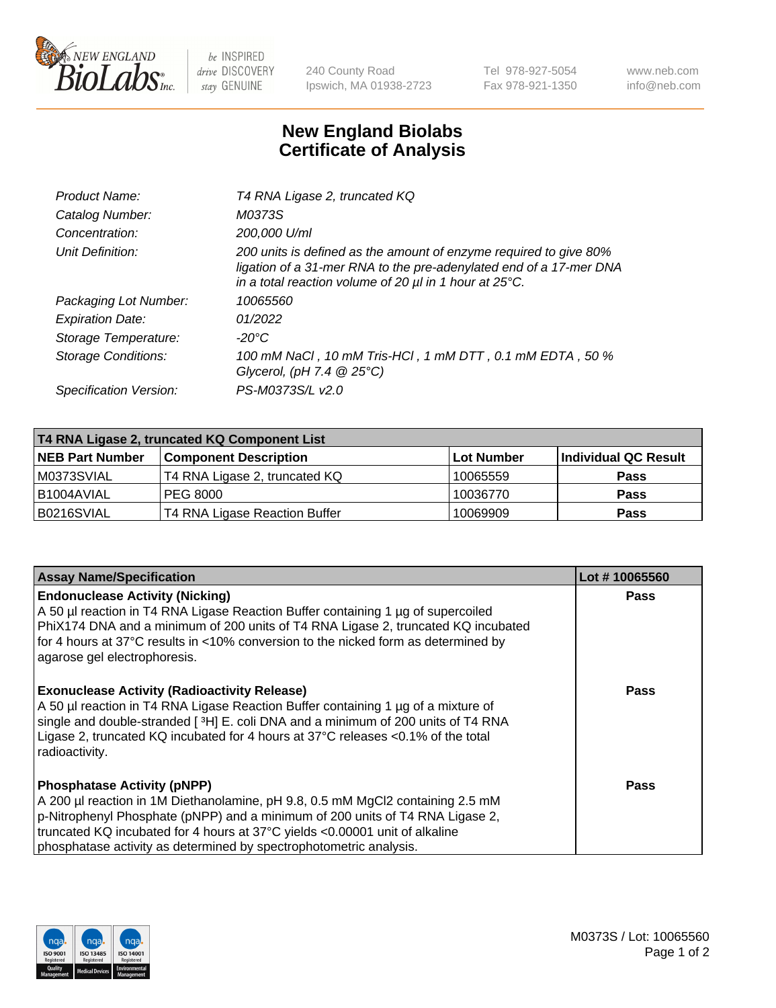

be INSPIRED drive DISCOVERY stay GENUINE

240 County Road Ipswich, MA 01938-2723 Tel 978-927-5054 Fax 978-921-1350 www.neb.com info@neb.com

## **New England Biolabs Certificate of Analysis**

| Product Name:              | T4 RNA Ligase 2, truncated KQ                                                                                                                                                                                    |
|----------------------------|------------------------------------------------------------------------------------------------------------------------------------------------------------------------------------------------------------------|
| Catalog Number:            | M0373S                                                                                                                                                                                                           |
| Concentration:             | 200,000 U/ml                                                                                                                                                                                                     |
| Unit Definition:           | 200 units is defined as the amount of enzyme required to give 80%<br>ligation of a 31-mer RNA to the pre-adenylated end of a 17-mer DNA<br>in a total reaction volume of 20 $\mu$ l in 1 hour at 25 $\degree$ C. |
| Packaging Lot Number:      | 10065560                                                                                                                                                                                                         |
| <b>Expiration Date:</b>    | 01/2022                                                                                                                                                                                                          |
| Storage Temperature:       | -20°C                                                                                                                                                                                                            |
| <b>Storage Conditions:</b> | 100 mM NaCl, 10 mM Tris-HCl, 1 mM DTT, 0.1 mM EDTA, 50 %<br>Glycerol, (pH 7.4 $@25°C$ )                                                                                                                          |
| Specification Version:     | PS-M0373S/L v2.0                                                                                                                                                                                                 |

| T4 RNA Ligase 2, truncated KQ Component List |                               |                   |                      |  |  |
|----------------------------------------------|-------------------------------|-------------------|----------------------|--|--|
| <b>NEB Part Number</b>                       | <b>Component Description</b>  | <b>Lot Number</b> | Individual QC Result |  |  |
| M0373SVIAL                                   | T4 RNA Ligase 2, truncated KQ | 10065559          | <b>Pass</b>          |  |  |
| B1004AVIAL                                   | <b>PEG 8000</b>               | 10036770          | <b>Pass</b>          |  |  |
| B0216SVIAL                                   | T4 RNA Ligase Reaction Buffer | 10069909          | <b>Pass</b>          |  |  |

| <b>Assay Name/Specification</b>                                                                                                                                                                                                                                                                                                                            | Lot #10065560 |
|------------------------------------------------------------------------------------------------------------------------------------------------------------------------------------------------------------------------------------------------------------------------------------------------------------------------------------------------------------|---------------|
| <b>Endonuclease Activity (Nicking)</b><br>A 50 µl reaction in T4 RNA Ligase Reaction Buffer containing 1 µg of supercoiled<br>PhiX174 DNA and a minimum of 200 units of T4 RNA Ligase 2, truncated KQ incubated<br>for 4 hours at 37°C results in <10% conversion to the nicked form as determined by<br>agarose gel electrophoresis.                      | <b>Pass</b>   |
| <b>Exonuclease Activity (Radioactivity Release)</b><br>A 50 µl reaction in T4 RNA Ligase Reaction Buffer containing 1 µg of a mixture of<br>single and double-stranded [3H] E. coli DNA and a minimum of 200 units of T4 RNA<br>Ligase 2, truncated KQ incubated for 4 hours at 37°C releases <0.1% of the total<br>radioactivity.                         | Pass          |
| <b>Phosphatase Activity (pNPP)</b><br>A 200 µl reaction in 1M Diethanolamine, pH 9.8, 0.5 mM MgCl2 containing 2.5 mM<br>p-Nitrophenyl Phosphate (pNPP) and a minimum of 200 units of T4 RNA Ligase 2,<br>truncated KQ incubated for 4 hours at 37°C yields <0.00001 unit of alkaline<br>phosphatase activity as determined by spectrophotometric analysis. | Pass          |